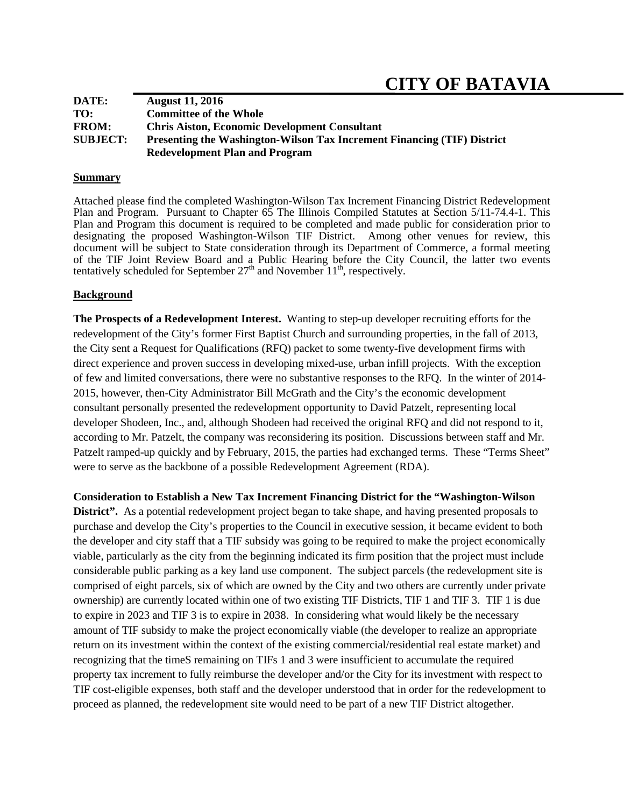| DATE:           | <b>August 11, 2016</b>                                                         |
|-----------------|--------------------------------------------------------------------------------|
| TO:             | <b>Committee of the Whole</b>                                                  |
| <b>FROM:</b>    | <b>Chris Aiston, Economic Development Consultant</b>                           |
| <b>SUBJECT:</b> | <b>Presenting the Washington-Wilson Tax Increment Financing (TIF) District</b> |
|                 | <b>Redevelopment Plan and Program</b>                                          |

#### **Summary**

Attached please find the completed Washington-Wilson Tax Increment Financing District Redevelopment Plan and Program. Pursuant to Chapter 65 The Illinois Compiled Statutes at Section 5/11-74.4-1. This Plan and Program this document is required to be completed and made public for consideration prior to designating the proposed Washington-Wilson TIF District. Among other venues for review, this document will be subject to State consideration through its Department of Commerce, a formal meeting of the TIF Joint Review Board and a Public Hearing before the City Council, the latter two events tentatively scheduled for September  $27<sup>th</sup>$  and November  $11<sup>th</sup>$ , respectively.

## **Background**

**The Prospects of a Redevelopment Interest.** Wanting to step-up developer recruiting efforts for the redevelopment of the City's former First Baptist Church and surrounding properties, in the fall of 2013, the City sent a Request for Qualifications (RFQ) packet to some twenty-five development firms with direct experience and proven success in developing mixed-use, urban infill projects. With the exception of few and limited conversations, there were no substantive responses to the RFQ. In the winter of 2014- 2015, however, then-City Administrator Bill McGrath and the City's the economic development consultant personally presented the redevelopment opportunity to David Patzelt, representing local developer Shodeen, Inc., and, although Shodeen had received the original RFQ and did not respond to it, according to Mr. Patzelt, the company was reconsidering its position. Discussions between staff and Mr. Patzelt ramped-up quickly and by February, 2015, the parties had exchanged terms. These "Terms Sheet" were to serve as the backbone of a possible Redevelopment Agreement (RDA).

**Consideration to Establish a New Tax Increment Financing District for the "Washington-Wilson** 

**District".** As a potential redevelopment project began to take shape, and having presented proposals to purchase and develop the City's properties to the Council in executive session, it became evident to both the developer and city staff that a TIF subsidy was going to be required to make the project economically viable, particularly as the city from the beginning indicated its firm position that the project must include considerable public parking as a key land use component. The subject parcels (the redevelopment site is comprised of eight parcels, six of which are owned by the City and two others are currently under private ownership) are currently located within one of two existing TIF Districts, TIF 1 and TIF 3. TIF 1 is due to expire in 2023 and TIF 3 is to expire in 2038. In considering what would likely be the necessary amount of TIF subsidy to make the project economically viable (the developer to realize an appropriate return on its investment within the context of the existing commercial/residential real estate market) and recognizing that the timeS remaining on TIFs 1 and 3 were insufficient to accumulate the required property tax increment to fully reimburse the developer and/or the City for its investment with respect to TIF cost-eligible expenses, both staff and the developer understood that in order for the redevelopment to proceed as planned, the redevelopment site would need to be part of a new TIF District altogether.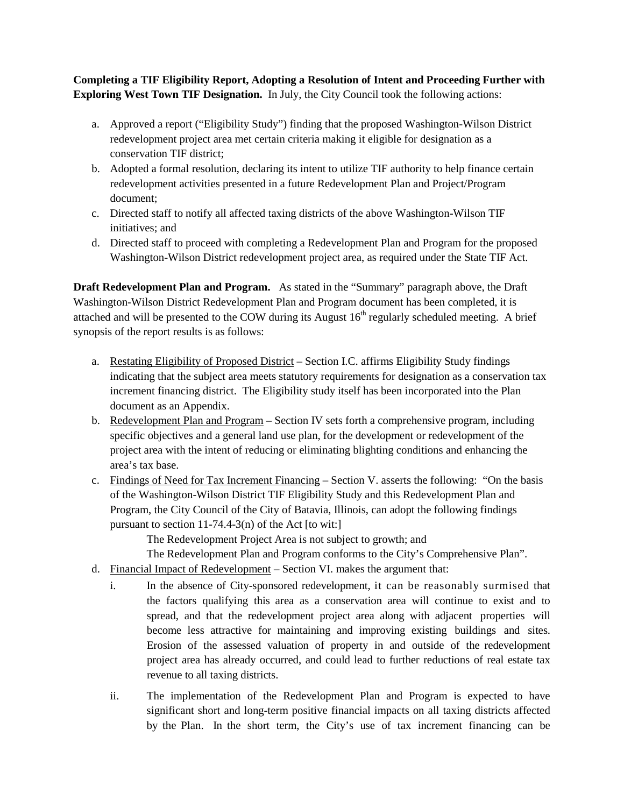**Completing a TIF Eligibility Report, Adopting a Resolution of Intent and Proceeding Further with Exploring West Town TIF Designation.** In July, the City Council took the following actions:

- a. Approved a report ("Eligibility Study") finding that the proposed Washington-Wilson District redevelopment project area met certain criteria making it eligible for designation as a conservation TIF district;
- b. Adopted a formal resolution, declaring its intent to utilize TIF authority to help finance certain redevelopment activities presented in a future Redevelopment Plan and Project/Program document;
- c. Directed staff to notify all affected taxing districts of the above Washington-Wilson TIF initiatives; and
- d. Directed staff to proceed with completing a Redevelopment Plan and Program for the proposed Washington-Wilson District redevelopment project area, as required under the State TIF Act.

**Draft Redevelopment Plan and Program.** As stated in the "Summary" paragraph above, the Draft Washington-Wilson District Redevelopment Plan and Program document has been completed, it is attached and will be presented to the COW during its August  $16<sup>th</sup>$  regularly scheduled meeting. A brief synopsis of the report results is as follows:

- a. Restating Eligibility of Proposed District Section I.C. affirms Eligibility Study findings indicating that the subject area meets statutory requirements for designation as a conservation tax increment financing district. The Eligibility study itself has been incorporated into the Plan document as an Appendix.
- b. Redevelopment Plan and Program Section IV sets forth a comprehensive program, including specific objectives and a general land use plan, for the development or redevelopment of the project area with the intent of reducing or eliminating blighting conditions and enhancing the area's tax base.
- c. Findings of Need for Tax Increment Financing Section V. asserts the following: "On the basis of the Washington-Wilson District TIF Eligibility Study and this Redevelopment Plan and Program, the City Council of the City of Batavia, Illinois, can adopt the following findings pursuant to section  $11-74.4-3(n)$  of the Act [to wit:]

The Redevelopment Project Area is not subject to growth; and

The Redevelopment Plan and Program conforms to the City's Comprehensive Plan".

- d. Financial Impact of Redevelopment Section VI. makes the argument that:
	- i. In the absence of City-sponsored redevelopment, it can be reasonably surmised that the factors qualifying this area as a conservation area will continue to exist and to spread, and that the redevelopment project area along with adjacent properties will become less attractive for maintaining and improving existing buildings and sites. Erosion of the assessed valuation of property in and outside of the redevelopment project area has already occurred, and could lead to further reductions of real estate tax revenue to all taxing districts.
	- ii. The implementation of the Redevelopment Plan and Program is expected to have significant short and long-term positive financial impacts on all taxing districts affected by the Plan. In the short term, the City's use of tax increment financing can be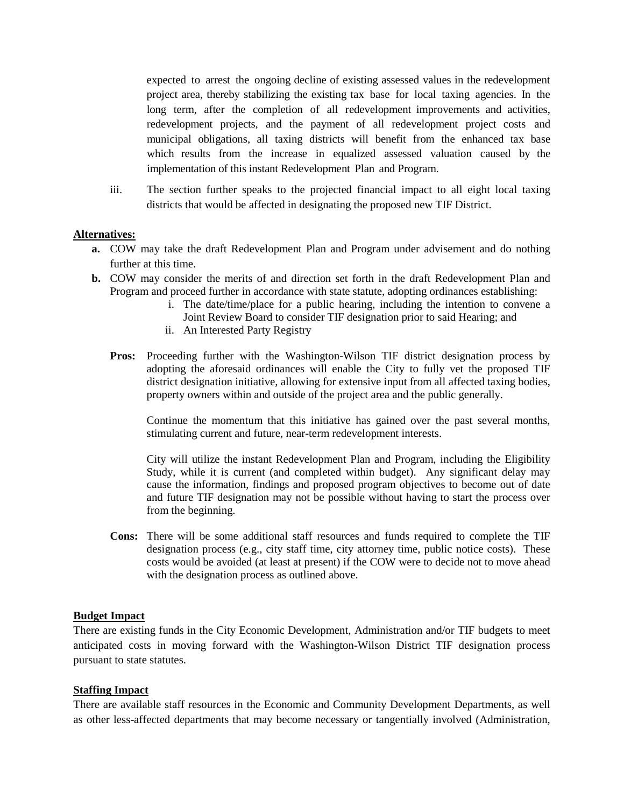expected to arrest the ongoing decline of existing assessed values in the redevelopment project area, thereby stabilizing the existing tax base for local taxing agencies. In the long term, after the completion of all redevelopment improvements and activities, redevelopment projects, and the payment of all redevelopment project costs and municipal obligations, all taxing districts will benefit from the enhanced tax base which results from the increase in equalized assessed valuation caused by the implementation of this instant Redevelopment Plan and Program.

iii. The section further speaks to the projected financial impact to all eight local taxing districts that would be affected in designating the proposed new TIF District.

## **Alternatives:**

- **a.** COW may take the draft Redevelopment Plan and Program under advisement and do nothing further at this time.
- **b.** COW may consider the merits of and direction set forth in the draft Redevelopment Plan and Program and proceed further in accordance with state statute, adopting ordinances establishing:
	- i. The date/time/place for a public hearing, including the intention to convene a Joint Review Board to consider TIF designation prior to said Hearing; and
	- ii. An Interested Party Registry
	- **Pros:** Proceeding further with the Washington-Wilson TIF district designation process by adopting the aforesaid ordinances will enable the City to fully vet the proposed TIF district designation initiative, allowing for extensive input from all affected taxing bodies, property owners within and outside of the project area and the public generally.

Continue the momentum that this initiative has gained over the past several months, stimulating current and future, near-term redevelopment interests.

City will utilize the instant Redevelopment Plan and Program, including the Eligibility Study, while it is current (and completed within budget). Any significant delay may cause the information, findings and proposed program objectives to become out of date and future TIF designation may not be possible without having to start the process over from the beginning.

**Cons:** There will be some additional staff resources and funds required to complete the TIF designation process (e.g., city staff time, city attorney time, public notice costs). These costs would be avoided (at least at present) if the COW were to decide not to move ahead with the designation process as outlined above.

#### **Budget Impact**

There are existing funds in the City Economic Development, Administration and/or TIF budgets to meet anticipated costs in moving forward with the Washington-Wilson District TIF designation process pursuant to state statutes.

## **Staffing Impact**

There are available staff resources in the Economic and Community Development Departments, as well as other less-affected departments that may become necessary or tangentially involved (Administration,